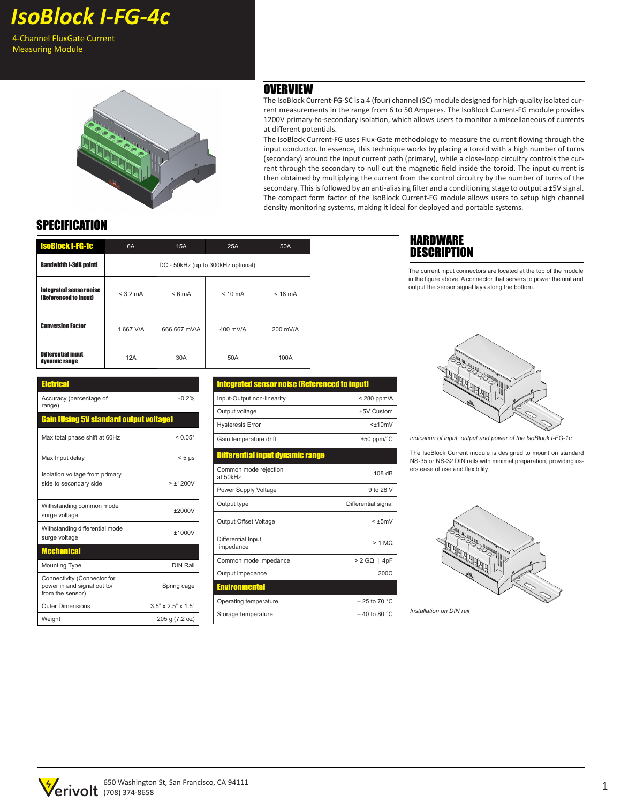4-Channel FluxGate Current Measuring Module



#### **OVERVIEW**

The IsoBlock Current-FG-SC is a 4 (four) channel (SC) module designed for high-quality isolated current measurements in the range from 6 to 50 Amperes. The IsoBlock Current-FG module provides 1200V primary-to-secondary isolation, which allows users to monitor a miscellaneous of currents at different potentials.

The IsoBlock Current-FG uses Flux-Gate methodology to measure the current flowing through the input conductor. In essence, this technique works by placing a toroid with a high number of turns (secondary) around the input current path (primary), while a close-loop circuitry controls the current through the secondary to null out the magnetic field inside the toroid. The input current is then obtained by multiplying the current from the control circuitry by the number of turns of the secondary. This is followed by an anti-aliasing filter and a conditioning stage to output a ±5V signal. The compact form factor of the IsoBlock Current-FG module allows users to setup high channel density monitoring systems, making it ideal for deployed and portable systems.

# **SPECIFICATION**

| <b>IsoBlock I-FG-1c</b>                                 | 6A                                 | 15A              | 25A               | 50A       |
|---------------------------------------------------------|------------------------------------|------------------|-------------------|-----------|
| <b>Bandwidth [-3dB point]</b>                           | DC - 50kHz (up to 300kHz optional) |                  |                   |           |
| Integrated sensor noise<br><b>(Referenced to input)</b> | $< 3.2 \text{ mA}$                 | $< 6 \text{ mA}$ | $< 10 \text{ mA}$ | $<$ 18 mA |
| <b>Conversion Factor</b>                                | 1.667 V/A                          | 666.667 mV/A     | 400 mV/A          | 200 mV/A  |
| <b>Differential input</b><br>dynamic range              | 12A                                | 30A              | 50A               | 100A      |

| <b>Eletrical</b>                                                               |                                |  |  |  |  |
|--------------------------------------------------------------------------------|--------------------------------|--|--|--|--|
| Accuracy (percentage of<br>range)                                              | ±0.2%                          |  |  |  |  |
| <b>Gain (Using 5V standard output voltage)</b>                                 |                                |  |  |  |  |
| Max total phase shift at 60Hz                                                  | $< 0.05^{\circ}$               |  |  |  |  |
| Max Input delay                                                                | $< 5 \mu s$                    |  |  |  |  |
| Isolation voltage from primary<br>side to secondary side                       | $> +1200V$                     |  |  |  |  |
| Withstanding common mode<br>surge voltage                                      | ±2000V                         |  |  |  |  |
| Withstanding differential mode<br>surge voltage                                | ±1000V                         |  |  |  |  |
| <b>Mechanical</b>                                                              |                                |  |  |  |  |
| <b>Mounting Type</b>                                                           | DIN Rail                       |  |  |  |  |
| Connectivity (Connector for<br>power in and signal out to/<br>from the sensor) | Spring cage                    |  |  |  |  |
| <b>Outer Dimensions</b>                                                        | $3.5" \times 2.5" \times 1.5"$ |  |  |  |  |
| Weight                                                                         | 205 g (7.2 oz)                 |  |  |  |  |

## Integrated sensor noise (Referenced to input) Input-Output non-linearity < 280 ppm/A Output voltage  $±5V$  Custom Hysteresis Error <±10mV Gain temperature drift  $\pm 50$  ppm/°C ntial input dynamic ra<mark>r</mark> Common mode rejection Common mode rejection<br>at 50kHz 108 dB Power Supply Voltage 9 to 28 V Output type **Differential** signal Output Offset Voltage < ±5mV Differential Input Differential Input<br>impedance > 1 MΩ Common mode impedance > 2 GΩ || 4pF Output impedance 200Ω **Environmental** Operating temperature  $-25$  to 70 °C Storage temperature  $-40$  to 80 °C

#### HARDWARE **DESCRIPTION**

The current input connectors are located at the top of the module in the figure above. A connector that servers to power the unit and output the sensor signal lays along the bottom.



*indication of input, output and power of the IsoBlock I-FG-1c*

The IsoBlock Current module is designed to mount on standard NS-35 or NS-32 DIN rails with minimal preparation, providing users ease of use and flexibility.



*Installation on DIN rail*